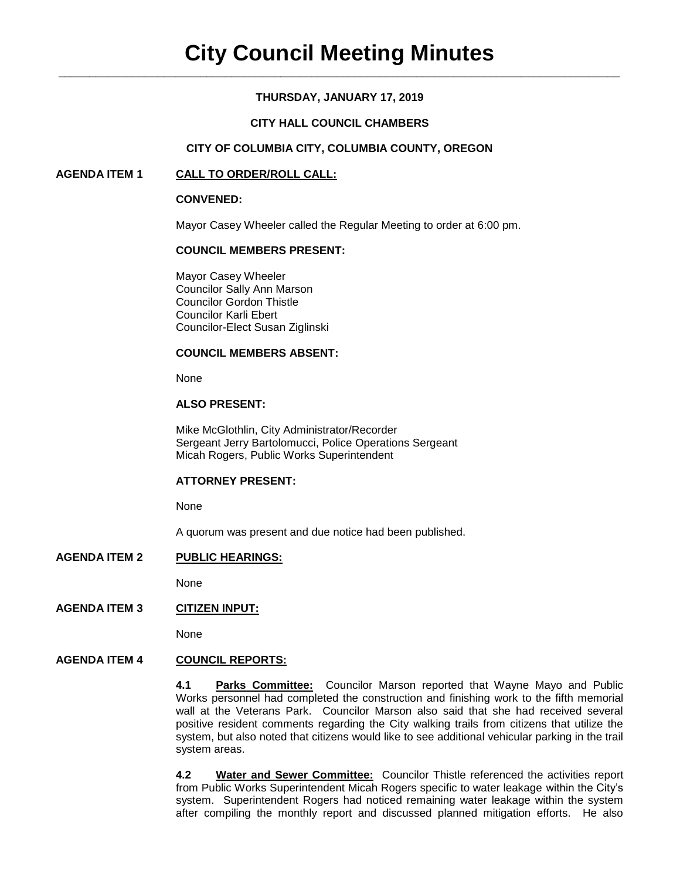# **THURSDAY, JANUARY 17, 2019**

## **CITY HALL COUNCIL CHAMBERS**

## **CITY OF COLUMBIA CITY, COLUMBIA COUNTY, OREGON**

# **AGENDA ITEM 1 CALL TO ORDER/ROLL CALL:**

#### **CONVENED:**

Mayor Casey Wheeler called the Regular Meeting to order at 6:00 pm.

# **COUNCIL MEMBERS PRESENT:**

Mayor Casey Wheeler Councilor Sally Ann Marson Councilor Gordon Thistle Councilor Karli Ebert Councilor-Elect Susan Ziglinski

#### **COUNCIL MEMBERS ABSENT:**

None

#### **ALSO PRESENT:**

Mike McGlothlin, City Administrator/Recorder Sergeant Jerry Bartolomucci, Police Operations Sergeant Micah Rogers, Public Works Superintendent

#### **ATTORNEY PRESENT:**

None

A quorum was present and due notice had been published.

### **AGENDA ITEM 2 PUBLIC HEARINGS:**

None

# **AGENDA ITEM 3 CITIZEN INPUT:**

None

# **AGENDA ITEM 4 COUNCIL REPORTS:**

**4.1 Parks Committee:** Councilor Marson reported that Wayne Mayo and Public Works personnel had completed the construction and finishing work to the fifth memorial wall at the Veterans Park. Councilor Marson also said that she had received several positive resident comments regarding the City walking trails from citizens that utilize the system, but also noted that citizens would like to see additional vehicular parking in the trail system areas.

**4.2 Water and Sewer Committee:** Councilor Thistle referenced the activities report from Public Works Superintendent Micah Rogers specific to water leakage within the City's system. Superintendent Rogers had noticed remaining water leakage within the system after compiling the monthly report and discussed planned mitigation efforts. He also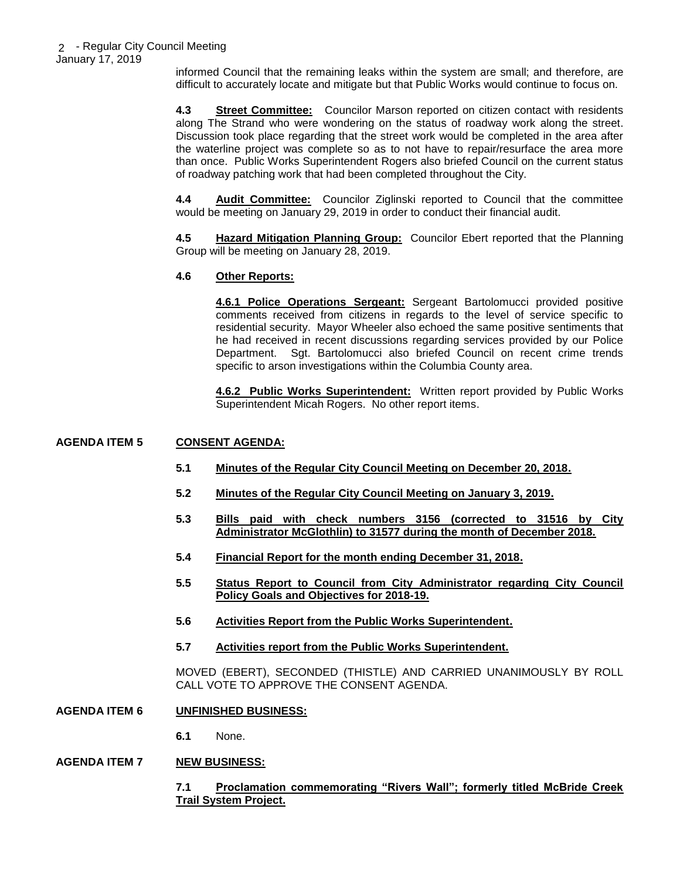informed Council that the remaining leaks within the system are small; and therefore, are difficult to accurately locate and mitigate but that Public Works would continue to focus on.

**4.3 Street Committee:** Councilor Marson reported on citizen contact with residents along The Strand who were wondering on the status of roadway work along the street. Discussion took place regarding that the street work would be completed in the area after the waterline project was complete so as to not have to repair/resurface the area more than once. Public Works Superintendent Rogers also briefed Council on the current status of roadway patching work that had been completed throughout the City.

**4.4 Audit Committee:** Councilor Ziglinski reported to Council that the committee would be meeting on January 29, 2019 in order to conduct their financial audit.

**4.5 Hazard Mitigation Planning Group:** Councilor Ebert reported that the Planning Group will be meeting on January 28, 2019.

# **4.6 Other Reports:**

**4.6.1 Police Operations Sergeant:** Sergeant Bartolomucci provided positive comments received from citizens in regards to the level of service specific to residential security. Mayor Wheeler also echoed the same positive sentiments that he had received in recent discussions regarding services provided by our Police Department. Sgt. Bartolomucci also briefed Council on recent crime trends specific to arson investigations within the Columbia County area.

**4.6.2 Public Works Superintendent:** Written report provided by Public Works Superintendent Micah Rogers. No other report items.

## **AGENDA ITEM 5 CONSENT AGENDA:**

- **5.1 Minutes of the Regular City Council Meeting on December 20, 2018.**
- **5.2 Minutes of the Regular City Council Meeting on January 3, 2019.**
- **5.3 Bills paid with check numbers 3156 (corrected to 31516 by City Administrator McGlothlin) to 31577 during the month of December 2018.**
- **5.4 Financial Report for the month ending December 31, 2018.**
- **5.5 Status Report to Council from City Administrator regarding City Council Policy Goals and Objectives for 2018-19.**
- **5.6 Activities Report from the Public Works Superintendent.**
- **5.7 Activities report from the Public Works Superintendent.**

MOVED (EBERT), SECONDED (THISTLE) AND CARRIED UNANIMOUSLY BY ROLL CALL VOTE TO APPROVE THE CONSENT AGENDA.

- **AGENDA ITEM 6 UNFINISHED BUSINESS:**
	- **6.1** None.

### **AGENDA ITEM 7 NEW BUSINESS:**

**7.1 Proclamation commemorating "Rivers Wall"; formerly titled McBride Creek Trail System Project.**